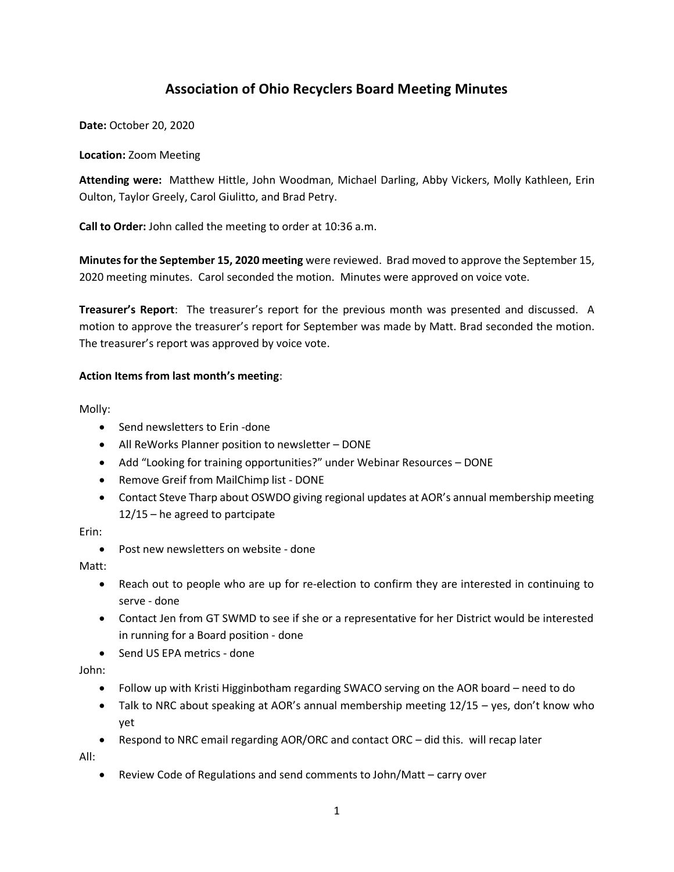# **Association of Ohio Recyclers Board Meeting Minutes**

**Date:** October 20, 2020

#### **Location:** Zoom Meeting

**Attending were:** Matthew Hittle, John Woodman, Michael Darling, Abby Vickers, Molly Kathleen, Erin Oulton, Taylor Greely, Carol Giulitto, and Brad Petry.

**Call to Order:** John called the meeting to order at 10:36 a.m.

**Minutes for the September 15, 2020 meeting** were reviewed. Brad moved to approve the September 15, 2020 meeting minutes. Carol seconded the motion. Minutes were approved on voice vote.

**Treasurer's Report**: The treasurer's report for the previous month was presented and discussed. A motion to approve the treasurer's report for September was made by Matt. Brad seconded the motion. The treasurer's report was approved by voice vote.

## **Action Items from last month's meeting**:

Molly:

- Send newsletters to Erin -done
- All ReWorks Planner position to newsletter DONE
- Add "Looking for training opportunities?" under Webinar Resources DONE
- Remove Greif from MailChimp list DONE
- Contact Steve Tharp about OSWDO giving regional updates at AOR's annual membership meeting 12/15 – he agreed to partcipate

Erin:

• Post new newsletters on website - done

Matt:

- Reach out to people who are up for re-election to confirm they are interested in continuing to serve - done
- Contact Jen from GT SWMD to see if she or a representative for her District would be interested in running for a Board position - done
- Send US EPA metrics done

John:

- Follow up with Kristi Higginbotham regarding SWACO serving on the AOR board need to do
- Talk to NRC about speaking at AOR's annual membership meeting 12/15 yes, don't know who yet
- Respond to NRC email regarding AOR/ORC and contact ORC did this. will recap later

All:

• Review Code of Regulations and send comments to John/Matt – carry over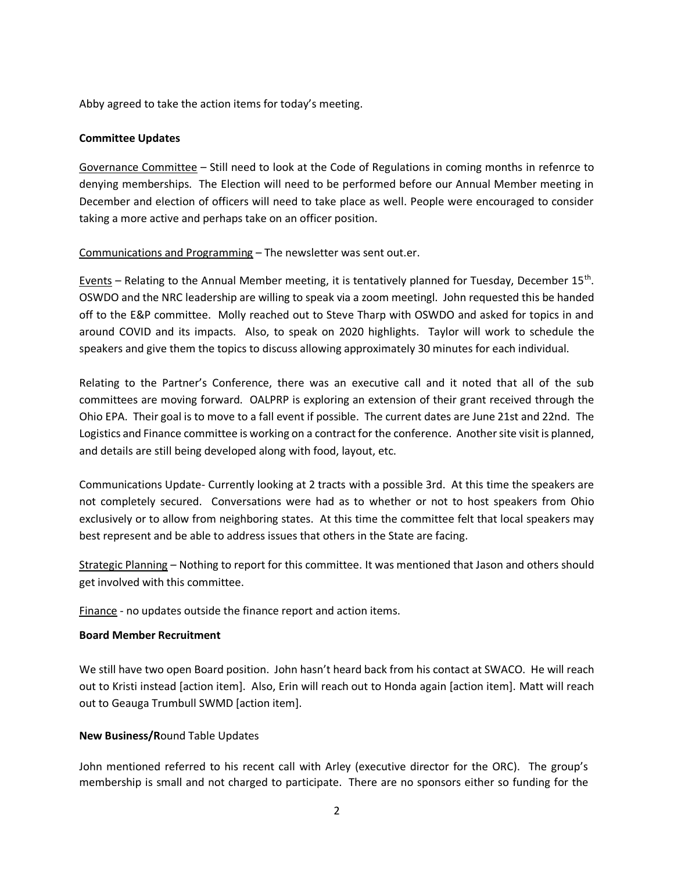Abby agreed to take the action items for today's meeting.

#### **Committee Updates**

Governance Committee – Still need to look at the Code of Regulations in coming months in refenrce to denying memberships. The Election will need to be performed before our Annual Member meeting in December and election of officers will need to take place as well. People were encouraged to consider taking a more active and perhaps take on an officer position.

## Communications and Programming – The newsletter was sent out.er.

Events - Relating to the Annual Member meeting, it is tentatively planned for Tuesday, December 15<sup>th</sup>. OSWDO and the NRC leadership are willing to speak via a zoom meetingl. John requested this be handed off to the E&P committee. Molly reached out to Steve Tharp with OSWDO and asked for topics in and around COVID and its impacts. Also, to speak on 2020 highlights. Taylor will work to schedule the speakers and give them the topics to discuss allowing approximately 30 minutes for each individual.

Relating to the Partner's Conference, there was an executive call and it noted that all of the sub committees are moving forward. OALPRP is exploring an extension of their grant received through the Ohio EPA. Their goal is to move to a fall event if possible. The current dates are June 21st and 22nd. The Logistics and Finance committee is working on a contract for the conference. Another site visit is planned, and details are still being developed along with food, layout, etc.

Communications Update- Currently looking at 2 tracts with a possible 3rd. At this time the speakers are not completely secured. Conversations were had as to whether or not to host speakers from Ohio exclusively or to allow from neighboring states. At this time the committee felt that local speakers may best represent and be able to address issues that others in the State are facing.

Strategic Planning – Nothing to report for this committee. It was mentioned that Jason and others should get involved with this committee.

Finance - no updates outside the finance report and action items.

## **Board Member Recruitment**

We still have two open Board position. John hasn't heard back from his contact at SWACO. He will reach out to Kristi instead [action item]. Also, Erin will reach out to Honda again [action item]. Matt will reach out to Geauga Trumbull SWMD [action item].

## **New Business/R**ound Table Updates

John mentioned referred to his recent call with Arley (executive director for the ORC). The group's membership is small and not charged to participate. There are no sponsors either so funding for the